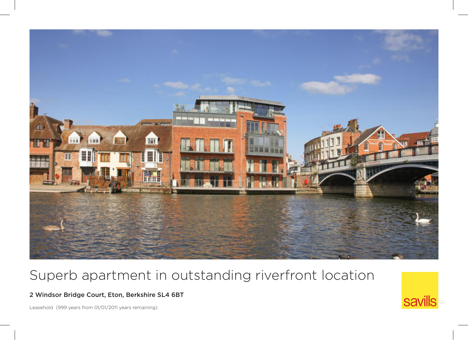

# Superb apartment in outstanding riverfront location

# 2 Windsor Bridge Court, Eton, Berkshire SL4 6BT

Leasehold (999 years from 01/01/2011 years remaining)

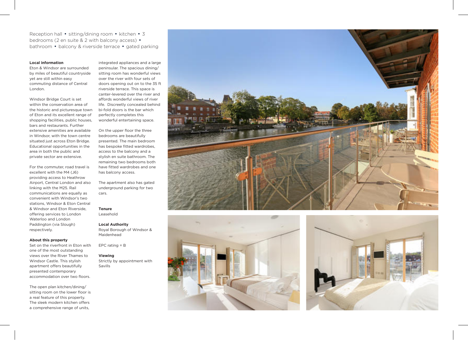Reception hall • sitting/dining room • kitchen • 3 bedrooms (2 en suite & 2 with balcony access) • bathroom • balcony & riverside terrace • gated parking

#### **Local information**

Eton & Windsor are surrounded by miles of beautiful countryside yet are still within easy commuting distance of Central London.

Windsor Bridge Court is set within the conservation area of the historic and picturesque town of Eton and its excellent range of shopping facilities, public houses, bars and restaurants. Further extensive amenities are available in Windsor, with the town centre situated just across Eton Bridge. Educational opportunities in the area in both the public and private sector are extensive.

For the commuter, road travel is excellent with the M4 (J6) providing access to Heathrow Airport, Central London and also linking with the M25. Rail communications are equally as convenient with Windsor's two stations, Windsor & Eton Central & Windsor and Eton Riverside, offering services to London Waterloo and London Paddington (via Slough) respectively.

#### **About this property**

Set on the riverfront in Eton with one of the most outstanding views over the River Thames to Windsor Castle. This stylish apartment offers beautifully presented contemporary accommodation over two floors.

The open plan kitchen/dining/ sitting room on the lower floor is a real feature of this property. The sleek modern kitchen offers a comprehensive range of units,

integrated appliances and a large peninsular. The spacious dining/ sitting room has wonderful views over the river with four sets of doors opening out on to the 35 ft riverside terrace. This space is canter-levered over the river and affords wonderful views of river life. Discreetly concealed behind bi-fold doors is the bar which perfectly completes this wonderful entertaining space.

On the upper floor the three bedrooms are beautifully presented. The main bedroom has bespoke fitted wardrobes, access to the balcony and a stylish en suite bathroom. The remaining two bedrooms both have fitted wardrobes and one has balcony access.

The apartment also has gated underground parking for two cars.

### **Tenure**

Leasehold

#### **Local Authority**

Royal Borough of Windsor & Maidenhead

EPC rating = B

## **Viewing**

Strictly by appointment with Savills





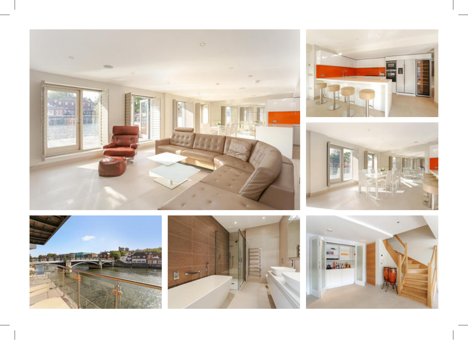